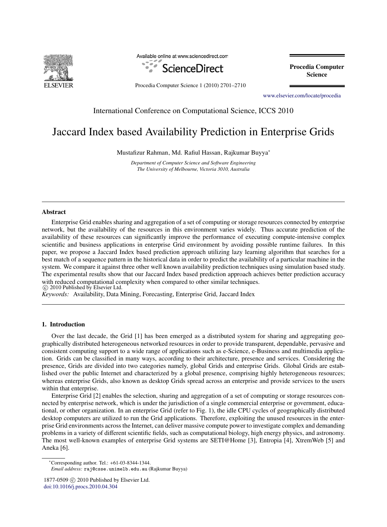

Available online at www.sciencedirect.com



Procedia Computer Science

Procedia Computer Science 1 (2010) 2701-2710

[www.elsevier.com/locate/procedia](http://www.elsevier.com/locate/procedia)

## International Conference on Computational Science, ICCS 2010

# Jaccard Index based Availability Prediction in Enterprise Grids

Mustafizur Rahman, Md. Rafiul Hassan, Rajkumar Buyya<sup>∗</sup>

*Department of Computer Science and Software Engineering The University of Melbourne, Victoria 3010, Australia*

## Abstract

Enterprise Grid enables sharing and aggregation of a set of computing or storage resources connected by enterprise network, but the availability of the resources in this environment varies widely. Thus accurate prediction of the availability of these resources can significantly improve the performance of executing compute-intensive complex scientific and business applications in enterprise Grid environment by avoiding possible runtime failures. In this paper, we propose a Jaccard Index based prediction approach utilizing lazy learning algorithm that searches for a best match of a sequence pattern in the historical data in order to predict the availability of a particular machine in the system. We compare it against three other well known availability prediction techniques using simulation based study. The experimental results show that our Jaccard Index based prediction approach achieves better prediction accuracy with reduced computational complexity when compared to other similar techniques. c 2010 Published by Elsevier Ltd.

*Keywords:* Availability, Data Mining, Forecasting, Enterprise Grid, Jaccard Index

## 1. Introduction

Over the last decade, the Grid [1] has been emerged as a distributed system for sharing and aggregating geographically distributed heterogeneous networked resources in order to provide transparent, dependable, pervasive and consistent computing support to a wide range of applications such as e-Science, e-Business and multimedia application. Grids can be classified in many ways, according to their architecture, presence and services. Considering the presence, Grids are divided into two categories namely, global Grids and enterprise Grids. Global Grids are established over the public Internet and characterized by a global presence, comprising highly heterogeneous resources; whereas enterprise Grids, also known as desktop Grids spread across an enterprise and provide services to the users within that enterprise.

Enterprise Grid [2] enables the selection, sharing and aggregation of a set of computing or storage resources connected by enterprise network, which is under the jurisdiction of a single commercial enterprise or government, educational, or other organization. In an enterprise Grid (refer to Fig. 1), the idle CPU cycles of geographically distributed desktop computers are utilized to run the Grid applications. Therefore, exploiting the unused resources in the enterprise Grid environments across the Internet, can deliver massive compute power to investigate complex and demanding problems in a variety of different scientific fields, such as computational biology, high energy physics, and astronomy. The most well-known examples of enterprise Grid systems are SETI@Home [3], Entropia [4], XtremWeb [5] and Aneka [6].

<sup>∗</sup>Corresponding author. Tel.: +61-03-8344-1344.

*Email address:* raj@csse.unimelb.edu.au (Rajkumar Buyya)

<sup>1877-0509</sup> C 2010 Published by Elsevier Ltd. [doi:10.1016/j.procs.2010.04.304](http://dx.doi.org/10.1016/j.procs.2010.04.304)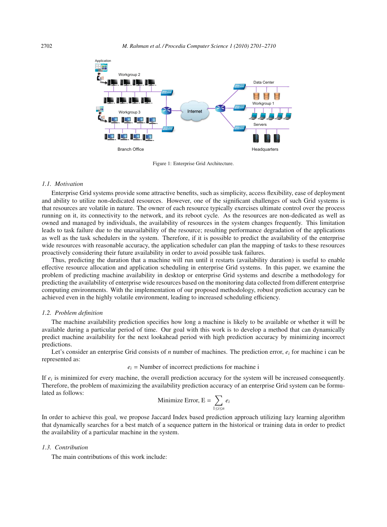

Figure 1: Enterprise Grid Architecture.

## *1.1. Motivation*

Enterprise Grid systems provide some attractive benefits, such as simplicity, access flexibility, ease of deployment and ability to utilize non-dedicated resources. However, one of the significant challenges of such Grid systems is that resources are volatile in nature. The owner of each resource typically exercises ultimate control over the process running on it, its connectivity to the network, and its reboot cycle. As the resources are non-dedicated as well as owned and managed by individuals, the availability of resources in the system changes frequently. This limitation leads to task failure due to the unavailability of the resource; resulting performance degradation of the applications as well as the task schedulers in the system. Therefore, if it is possible to predict the availability of the enterprise wide resources with reasonable accuracy, the application scheduler can plan the mapping of tasks to these resources proactively considering their future availability in order to avoid possible task failures.

Thus, predicting the duration that a machine will run until it restarts (availability duration) is useful to enable effective resource allocation and application scheduling in enterprise Grid systems. In this paper, we examine the problem of predicting machine availability in desktop or enterprise Grid systems and describe a methodology for predicting the availability of enterprise wide resources based on the monitoring data collected from different enterprise computing environments. With the implementation of our proposed methodology, robust prediction accuracy can be achieved even in the highly volatile environment, leading to increased scheduling efficiency.

## *1.2. Problem definition*

The machine availability prediction specifies how long a machine is likely to be available or whether it will be available during a particular period of time. Our goal with this work is to develop a method that can dynamically predict machine availability for the next lookahead period with high prediction accuracy by minimizing incorrect predictions.

Let's consider an enterprise Grid consists of *n* number of machines. The prediction error, *ei* for machine i can be represented as:

 $e_i$  = Number of incorrect predictions for machine i

If  $e_i$  is minimized for every machine, the overall prediction accuracy for the system will be increased consequently. Therefore, the problem of maximizing the availability prediction accuracy of an enterprise Grid system can be formulated as follows:

Minimize Error, 
$$
E = \sum_{1 \le i \le n} e_i
$$

In order to achieve this goal, we propose Jaccard Index based prediction approach utilizing lazy learning algorithm that dynamically searches for a best match of a sequence pattern in the historical or training data in order to predict the availability of a particular machine in the system.

#### *1.3. Contribution*

The main contributions of this work include: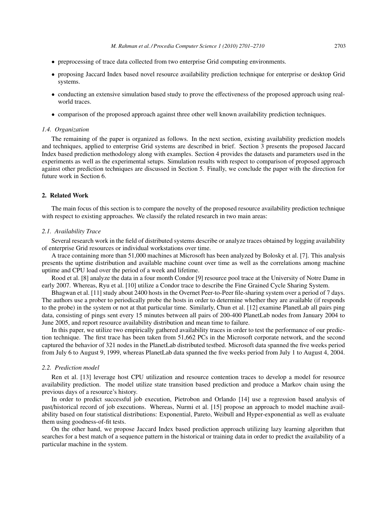- preprocessing of trace data collected from two enterprise Grid computing environments.
- proposing Jaccard Index based novel resource availability prediction technique for enterprise or desktop Grid systems.
- conducting an extensive simulation based study to prove the effectiveness of the proposed approach using realworld traces.
- comparison of the proposed approach against three other well known availability prediction techniques.

## *1.4. Organization*

The remaining of the paper is organized as follows. In the next section, existing availability prediction models and techniques, applied to enterprise Grid systems are described in brief. Section 3 presents the proposed Jaccard Index based prediction methodology along with examples. Section 4 provides the datasets and parameters used in the experiments as well as the experimental setups. Simulation results with respect to comparison of proposed approach against other prediction techniques are discussed in Section 5. Finally, we conclude the paper with the direction for future work in Section 6.

## 2. Related Work

The main focus of this section is to compare the novelty of the proposed resource availability prediction technique with respect to existing approaches. We classify the related research in two main areas:

## *2.1. Availability Trace*

Several research work in the field of distributed systems describe or analyze traces obtained by logging availability of enterprise Grid resources or individual workstations over time.

A trace containing more than 51,000 machines at Microsoft has been analyzed by Bolosky et al. [7]. This analysis presents the uptime distribution and available machine count over time as well as the correlations among machine uptime and CPU load over the period of a week and lifetime.

Rood et al. [8] analyze the data in a four month Condor [9] resource pool trace at the University of Notre Dame in early 2007. Whereas, Ryu et al. [10] utilize a Condor trace to describe the Fine Grained Cycle Sharing System.

Bhagwan et al. [11] study about 2400 hosts in the Overnet Peer-to-Peer file-sharing system over a period of 7 days. The authors use a prober to periodically probe the hosts in order to determine whether they are available (if responds to the probe) in the system or not at that particular time. Similarly, Chun et al. [12] examine PlanetLab all pairs ping data, consisting of pings sent every 15 minutes between all pairs of 200-400 PlanetLab nodes from January 2004 to June 2005, and report resource availability distribution and mean time to failure.

In this paper, we utilize two empirically gathered availability traces in order to test the performance of our prediction technique. The first trace has been taken from 51,662 PCs in the Microsoft corporate network, and the second captured the behavior of 321 nodes in the PlanetLab distributed testbed. Microsoft data spanned the five weeks period from July 6 to August 9, 1999, whereas PlanetLab data spanned the five weeks period from July 1 to August 4, 2004.

## *2.2. Prediction model*

Ren et al. [13] leverage host CPU utilization and resource contention traces to develop a model for resource availability prediction. The model utilize state transition based prediction and produce a Markov chain using the previous days of a resource's history.

In order to predict successful job execution, Pietrobon and Orlando [14] use a regression based analysis of past/historical record of job executions. Whereas, Nurmi et al. [15] propose an approach to model machine availability based on four statistical distributions: Exponential, Pareto, Weibull and Hyper-exponential as well as evaluate them using goodness-of-fit tests.

On the other hand, we propose Jaccard Index based prediction approach utilizing lazy learning algorithm that searches for a best match of a sequence pattern in the historical or training data in order to predict the availability of a particular machine in the system.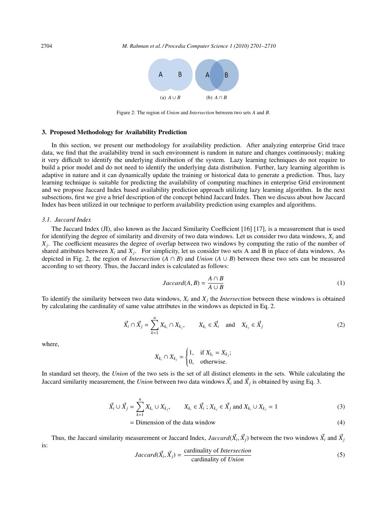

Figure 2: The region of *Union* and *Intersection* between two sets *A* and *B*.

## 3. Proposed Methodology for Availability Prediction

In this section, we present our methodology for availability prediction. After analyzing enterprise Grid trace data, we find that the availability trend in such environment is random in nature and changes continuously; making it very difficult to identify the underlying distribution of the system. Lazy learning techniques do not require to build a prior model and do not need to identify the underlying data distribution. Further, lazy learning algorithm is adaptive in nature and it can dynamically update the training or historical data to generate a prediction. Thus, lazy learning technique is suitable for predicting the availability of computing machines in enterprise Grid environment and we propose Jaccard Index based availability prediction approach utilizing lazy learning algorithm. In the next subsections, first we give a brief description of the concept behind Jaccard Index. Then we discuss about how Jaccard Index has been utilized in our technique to perform availability prediction using examples and algorithms.

## *3.1. Jaccard Index*

The Jaccard Index (JI), also known as the Jaccard Similarity Coefficient [16] [17], is a measurement that is used for identifying the degree of similarity and diversity of two data windows. Let us consider two data windows,  $X_i$  and  $X_i$ . The coefficient measures the degree of overlap between two windows by computing the ratio of the number of shared attributes between  $X_i$  and  $X_j$ . For simplicity, let us consider two sets A and B in place of data windows. As depicted in Fig. 2, the region of *Intersection* ( $A \cap B$ ) and *Union* ( $A \cup B$ ) between these two sets can be measured according to set theory. Thus, the Jaccard index is calculated as follows:

$$
Jaccard(A, B) = \frac{A \cap B}{A \cup B} \tag{1}
$$

To identify the similarity between two data windows, *Xi* and *Xj* the *Intersection* between these windows is obtained by calculating the cardinality of same value attributes in the windows as depicted in Eq. 2.

$$
\vec{X}_i \cap \vec{X}_j = \sum_{k=1}^n X_{k_i} \cap X_{k_j}, \qquad X_{k_i} \in \vec{X}_i \quad \text{and} \quad X_{k_j} \in \vec{X}_j
$$
 (2)

where,

 $X_{k_i} \cap X_{k_j} =$  $\left\{ \right.$  $\overline{\mathcal{L}}$ 1, if  $X_{k_i} = X_{k_j}$ ; 0, otherwise.

In standard set theory, the *Union* of the two sets is the set of all distinct elements in the sets. While calculating the Jaccard similarity measurement, the *Union* between two data windows  $\vec{X}_i$  and  $\vec{X}_j$  is obtained by using Eq. 3.

$$
\vec{X}_i \cup \vec{X}_j = \sum_{k=1}^n X_{k_i} \cup X_{k_j}, \qquad X_{k_i} \in \vec{X}_i \; ; \; X_{k_j} \in \vec{X}_j \text{ and } X_{k_i} \cup X_{k_j} = 1 \tag{3}
$$

$$
= Dimension of the data window \tag{4}
$$

Thus, the Jaccard similarity measurement or Jaccard Index, *Jaccard*( $\vec{X}_i$ ,  $\vec{X}_j$ ) between the two windows  $\vec{X}_i$  and  $\vec{X}_j$ is:

$$
Jaccard(\vec{X}_i, \vec{X}_j) = \frac{\text{cardinality of Intersection}}{\text{cardinality of Union}} \tag{5}
$$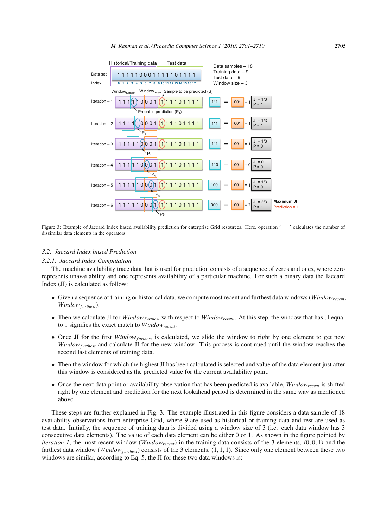

Figure 3: Example of Jaccard Index based availability prediction for enterprise Grid resources. Here, operation  $' =$  calculates the number of dissimilar data elements in the operators.

## *3.2. Jaccard Index based Prediction*

#### *3.2.1. Jaccard Index Computation*

The machine availability trace data that is used for prediction consists of a sequence of zeros and ones, where zero represents unavailability and one represents availability of a particular machine. For such a binary data the Jaccard Index (JI) is calculated as follow:

- Given a sequence of training or historical data, we compute most recent and furthest data windows (*Windowrecent*, *Window* furthest).
- Then we calculate JI for *Window furthest* with respect to *Window<sub>recent</sub>*. At this step, the window that has JI equal to 1 signifies the exact match to *Windowrecent*.
- Once JI for the first *Window<sub>furthest</sub>* is calculated, we slide the window to right by one element to get new *Window furthest* and calculate JI for the new window. This process is continued until the window reaches the second last elements of training data.
- Then the window for which the highest JI has been calculated is selected and value of the data element just after this window is considered as the predicted value for the current availability point.
- Once the next data point or availability observation that has been predicted is available, *Window<sub>recent</sub>* is shifted right by one element and prediction for the next lookahead period is determined in the same way as mentioned above.

These steps are further explained in Fig. 3. The example illustrated in this figure considers a data sample of 18 availability observations from enterprise Grid, where 9 are used as historical or training data and rest are used as test data. Initially, the sequence of training data is divided using a window size of 3 (i.e. each data window has 3 consecutive data elements). The value of each data element can be either 0 or 1. As shown in the figure pointed by *iteration 1*, the most recent window (*Window<sub>recent</sub>*) in the training data consists of the 3 elements,  $(0, 0, 1)$  and the farthest data window (*Window furthest*) consists of the 3 elements,  $\langle 1, 1, 1 \rangle$ . Since only one element between these two windows are similar, according to Eq. 5, the JI for these two data windows is: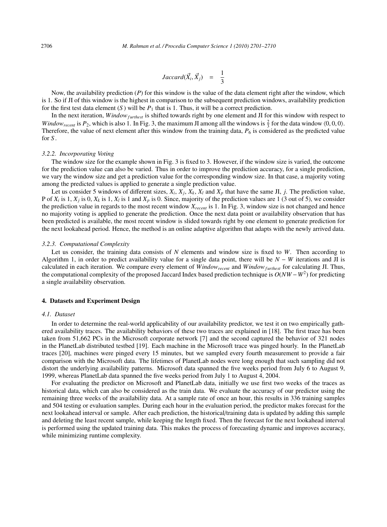$$
Jaccard(\vec{X}_i, \vec{X}_j) = \frac{1}{3}
$$

Now, the availability prediction (*P*) for this window is the value of the data element right after the window, which is 1. So if JI of this window is the highest in comparison to the subsequent prediction windows, availability prediction for the first test data element  $(S)$  will be  $P_1$  that is 1. Thus, it will be a correct prediction.

In the next iteration, *Window* furthest is shifted towards right by one element and JI for this window with respect to *Window<sub>recent</sub>* is  $P_2$ , which is also 1. In Fig. 3, the maximum JI among all the windows is  $\frac{2}{3}$  for the data window  $(0, 0, 0)$ . Therefore, the value of next element after this window from the training data,  $P_6$  is considered as the predicted value for *S* .

#### *3.2.2. Incorporating Voting*

The window size for the example shown in Fig. 3 is fixed to 3. However, if the window size is varied, the outcome for the prediction value can also be varied. Thus in order to improve the prediction accuracy, for a single prediction, we vary the window size and get a prediction value for the corresponding window size. In that case, a majority voting among the predicted values is applied to generate a single prediction value.

Let us consider 5 windows of different sizes,  $X_i$ ,  $X_j$ ,  $X_k$ ,  $X_l$  and  $X_p$  that have the same JI, *j*. The prediction value, P of  $X_i$  is 1,  $X_j$  is 0,  $X_k$  is 1,  $X_i$  is 1 and  $X_p$  is 0. Since, majority of the prediction values are 1 (3 out of 5), we consider the prediction value in regards to the most recent window *Xrecent* is 1. In Fig. 3, window size is not changed and hence no majority voting is applied to generate the prediction. Once the next data point or availability observation that has been predicted is available, the most recent window is slided towards right by one element to generate prediction for the next lookahead period. Hence, the method is an online adaptive algorithm that adapts with the newly arrived data.

#### *3.2.3. Computational Complexity*

Let us consider, the training data consists of *N* elements and window size is fixed to *W*. Then according to Algorithm 1, in order to predict availability value for a single data point, there will be *N* − *W* iterations and JI is calculated in each iteration. We compare every element of *Window<sub>recent</sub>* and *Window* furthest for calculating JI. Thus, the computational complexity of the proposed Jaccard Index based prediction technique is *<sup>O</sup>*(*NW* <sup>−</sup>*W*2) for predicting a single availability observation.

## 4. Datasets and Experiment Design

## *4.1. Dataset*

In order to determine the real-world applicability of our availability predictor, we test it on two empirically gathered availability traces. The availability behaviors of these two traces are explained in [18]. The first trace has been taken from 51,662 PCs in the Microsoft corporate network [7] and the second captured the behavior of 321 nodes in the PlanetLab distributed testbed [19]. Each machine in the Microsoft trace was pinged hourly. In the PlanetLab traces [20], machines were pinged every 15 minutes, but we sampled every fourth measurement to provide a fair comparison with the Microsoft data. The lifetimes of PlanetLab nodes were long enough that such sampling did not distort the underlying availability patterns. Microsoft data spanned the five weeks period from July 6 to August 9, 1999, whereas PlanetLab data spanned the five weeks period from July 1 to August 4, 2004.

For evaluating the predictor on Microsoft and PlanetLab data, initially we use first two weeks of the traces as historical data, which can also be considered as the train data. We evaluate the accuracy of our predictor using the remaining three weeks of the availability data. At a sample rate of once an hour, this results in 336 training samples and 504 testing or evaluation samples. During each hour in the evaluation period, the predictor makes forecast for the next lookahead interval or sample. After each prediction, the historical/training data is updated by adding this sample and deleting the least recent sample, while keeping the length fixed. Then the forecast for the next lookahead interval is performed using the updated training data. This makes the process of forecasting dynamic and improves accuracy, while minimizing runtime complexity.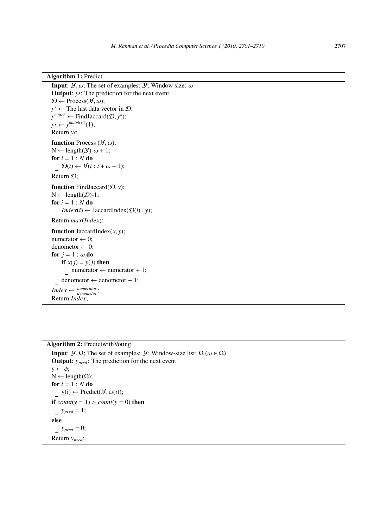Algorithm 1: Predict

```
Input: \mathcal{Y}, \omega; The set of examples: \mathcal{Y}; Window size: \omegaOutput: y: The prediction for the next event
\mathcal{D} \leftarrow Process(\mathcal{Y}, \omega);
y<sup>∗</sup> ← The last data vector in \mathcal{D};
y^{match} \leftarrow FindJaccard(\mathcal{D}, y^*);
y' \leftarrow y^{match+1}(1);Return y;
function Process (\mathcal{Y}, \omega);
N \leftarrow \text{length}(\mathcal{Y}) - \omega + 1;for i = 1 : N do
\big| \mathcal{D}(i) \leftarrow \mathcal{Y}(i : i + \omega - 1);Return \mathcal{D};
function FindJaccard(D, y);
N \leftarrow \text{length}(\mathcal{D})-1;for i = 1 : N do
 Index(i) ← JaccardIndex(\mathcal{D}(i), y);
Return max(Index);
function JaccardIndex(x, y);
numerator \leftarrow 0;
denometor \leftarrow 0;
for j = 1 : \omega do
     if x(j) = y(j) then
      \lfloor numerator \leftarrow numerator + 1;
 \left\lfloor \right. denometor \leftarrow denometor + 1;
Index \leftarrow \frac{numerator}{denometer};
Return Index;
```

| <b>Algorithm 2: Predictwith Voting</b>                                                                                        |
|-------------------------------------------------------------------------------------------------------------------------------|
| <b>Input:</b> $\mathcal{Y}, \Omega$ ; The set of examples: $\mathcal{Y}$ ; Window-size list: $\Omega$ ( $\omega \in \Omega$ ) |
| <b>Output:</b> $y_{pred}$ : The prediction for the next event                                                                 |
| $y \leftarrow \phi$ ;                                                                                                         |
| $N \leftarrow \text{length}(\Omega);$                                                                                         |
| for $i = 1 : N$ do                                                                                                            |
| $\vert y(i) \leftarrow \text{Predict}(\mathcal{Y}, \omega(i));$                                                               |
| if $count(y = 1) > count(y = 0)$ then                                                                                         |
| $\vert y_{pred} = 1;$                                                                                                         |
| else                                                                                                                          |
| $y_{pred} = 0;$                                                                                                               |
| Return $y_{pred}$ ;                                                                                                           |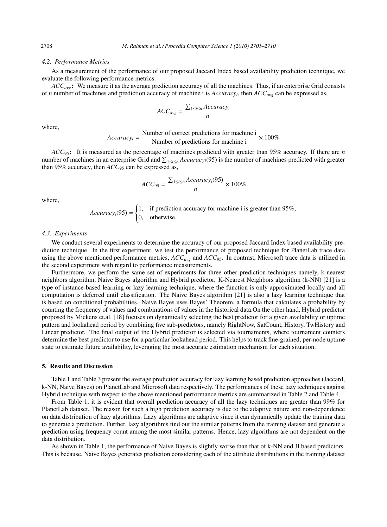## *4.2. Performance Metrics*

As a measurement of the performance of our proposed Jaccard Index based availability prediction technique, we evaluate the following performance metrics:

*ACCavg*: We measure it as the average prediction accuracy of all the machines. Thus, if an enterprise Grid consists of *n* number of machines and prediction accuracy of machine i is *Accuracyi*, then *ACCavg* can be expressed as,

$$
ACC_{avg} = \frac{\sum_{1 \le i \le n}Accuracy_i}{n}
$$

where,

$$
Accuracy_i = \frac{\text{Number of correct predictions for machine i}}{\text{Number of predictions for machine i}} \times 100\%
$$

*ACC*95: It is measured as the percentage of machines predicted with greater than 95% accuracy. If there are *n* number of machines in an enterprise Grid and  $\sum_{1 \le i \le n} Accuracy_i(95)$  is the number of machines predicted with greater than 95% accuracy, then *ACC*<sup>95</sup> can be expressed as,

$$
ACC_{95} = \frac{\sum_{1 \le i \le n}Accuracy_i(95)}{n} \times 100\%
$$

where,

$$
Accuracy_i(95) = \begin{cases} 1, & \text{if prediction accuracy for machine } i \text{ is greater than } 95\%; \\ 0, & \text{otherwise.} \end{cases}
$$

### *4.3. Experiments*

We conduct several experiments to determine the accuracy of our proposed Jaccard Index based availability prediction technique. In the first experiment, we test the performance of proposed technique for PlanetLab trace data using the above mentioned performance metrics,  $ACC_{ave}$  and  $ACC_{95}$ . In contrast, Microsoft trace data is utilized in the second experiment with regard to performance measurements.

Furthermore, we perform the same set of experiments for three other prediction techniques namely, k-nearest neighbors algorithm, Naive Bayes algorithm and Hybrid predictor. K-Nearest Neighbors algorithm (k-NN) [21] is a type of instance-based learning or lazy learning technique, where the function is only approximated locally and all computation is deferred until classification. The Naive Bayes algorithm [21] is also a lazy learning technique that is based on conditional probabilities. Naive Bayes uses Bayes' Theorem, a formula that calculates a probability by counting the frequency of values and combinations of values in the historical data.On the other hand, Hybrid predictor proposed by Mickens et.al. [18] focuses on dynamically selecting the best predictor for a given availability or uptime pattern and lookahead period by combining five sub-predictors, namely RightNow, SatCount, History, TwHistory and Linear predictor. The final output of the Hybrid predictor is selected via tournaments, where tournament counters determine the best predictor to use for a particular lookahead period. This helps to track fine-grained, per-node uptime state to estimate future availability, leveraging the most accurate estimation mechanism for each situation.

## 5. Results and Discussion

Table 1 and Table 3 present the average prediction accuracy for lazy learning based prediction approaches (Jaccard, k-NN, Naive Bayes) on PlanetLab and Microsoft data respectively. The performances of these lazy techniques against Hybrid technique with respect to the above mentioned performance metrics are summarized in Table 2 and Table 4.

From Table 1, it is evident that overall prediction accuracy of all the lazy techniques are greater than 99% for PlanetLab dataset. The reason for such a high prediction accuracy is due to the adaptive nature and non-dependence on data distribution of lazy algorithms. Lazy algorithms are adaptive since it can dynamically update the training data to generate a prediction. Further, lazy algorithms find out the similar patterns from the training dataset and generate a prediction using frequency count among the most similar patterns. Hence, lazy algorithms are not dependent on the data distribution.

As shown in Table 1, the performance of Naive Bayes is slightly worse than that of k-NN and JI based predictors. This is because, Naive Bayes generates prediction considering each of the attribute distributions in the training dataset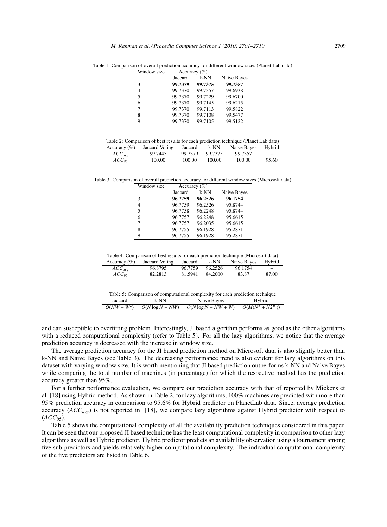| Window size   | Accuracy $(\% )$ |         |             |
|---------------|------------------|---------|-------------|
|               | Jaccard          | $k-NN$  | Naive Bayes |
| $\mathcal{R}$ | 99.7379          | 99.7375 | 99.7357     |
| 4             | 99.7370          | 99.7357 | 99.6938     |
| 5             | 99.7370          | 99.7229 | 99.6700     |
| 6             | 99.7370          | 99.7145 | 99.6215     |
| 7             | 99.7370          | 99.7113 | 99.5822     |
| 8             | 99.7370          | 99.7108 | 99.5477     |
| q             | 99.7370          | 99.7105 | 99.5122     |
|               |                  |         |             |

Table 1: Comparison of overall prediction accuracy for different window sizes (Planet Lab data)

Table 2: Comparison of best results for each prediction technique (Planet Lab data)

| Accuracy $(\% )$   | Jaccard Voting Jaccard |         | k-NN    | Naive Bayes | Hybrid |
|--------------------|------------------------|---------|---------|-------------|--------|
| $ACC_{\text{ave}}$ | 99.7445                | 99.7379 | 99.7375 | 99.7357     |        |
| ACC <sub>95</sub>  | 100.00                 | 100.00  | 100.00  | 100.00      | 95.60  |

Table 3: Comparison of overall prediction accuracy for different window sizes (Microsoft data)

| Window size | Accuracy $(\% )$ |         |             |
|-------------|------------------|---------|-------------|
|             | Jaccard          | $k-NN$  | Naive Bayes |
| 3           | 96.7759          | 96.2526 | 96.1754     |
| 4           | 96.7759          | 96.2526 | 95.8744     |
| 5           | 96.7758          | 96.2248 | 95.8744     |
| 6           | 96.7757          | 96.2248 | 95.6615     |
| 7           | 96.7757          | 96.2035 | 95.6615     |
| 8           | 96.7755          | 96.1928 | 95.2871     |
| q           | 96.7755          | 96.1928 | 95.2871     |
|             |                  |         |             |

Table 4: Comparison of best results for each prediction technique (Microsoft data)

| Accuracy $(\%)$    | Jaccard Voting | Jaccard | k-NN    | Naive Bayes | Hybrid |
|--------------------|----------------|---------|---------|-------------|--------|
| $ACC_{\text{ave}}$ | 96.8795        | 96.7759 | 96.2526 | 96.1754     |        |
| ACC <sub>95</sub>  | 82.2813        | 81.5941 | 84.2000 | 83.87       | 87.00  |

| Table 5: Comparison of computational complexity for each prediction technique |                    |                        |                    |  |  |
|-------------------------------------------------------------------------------|--------------------|------------------------|--------------------|--|--|
| Jaccard                                                                       | k-NN               | Naive Bayes            | Hybrid             |  |  |
| $O(NW - W^2)$                                                                 | $O(N \log N + NW)$ | $O(N \log N + NW + W)$ | $O(M(N^3 + N2^W))$ |  |  |

and can susceptible to overfitting problem. Interestingly, JI based algorithm performs as good as the other algorithms with a reduced computational complexity (refer to Table 5). For all the lazy algorithms, we notice that the average prediction accuracy is decreased with the increase in window size.

The average prediction accuracy for the JI based prediction method on Microsoft data is also slightly better than k-NN and Naive Bayes (see Table 3). The decreasing performance trend is also evident for lazy algorithms on this dataset with varying window size. It is worth mentioning that JI based prediction outperforms k-NN and Naive Bayes while comparing the total number of machines (in percentage) for which the respective method has the prediction accuracy greater than 95%.

For a further performance evaluation, we compare our prediction accuracy with that of reported by Mickens et al. [18] using Hybrid method. As shown in Table 2, for lazy algorithms, 100% machines are predicted with more than 95% prediction accuracy in comparison to 95.6% for Hybrid predictor on PlanetLab data. Since, average prediction accuracy (*ACCavg*) is not reported in [18], we compare lazy algorithms against Hybrid predictor with respect to  $(ACC<sub>95</sub>)$ .

Table 5 shows the computational complexity of all the availability prediction techniques considered in this paper. It can be seen that our proposed JI based technique has the least computational complexity in comparison to other lazy algorithms as well as Hybrid predictor. Hybrid predictor predicts an availability observation using a tournament among five sub-predictors and yields relatively higher computational complexity. The individual computational complexity of the five predictors are listed in Table 6.